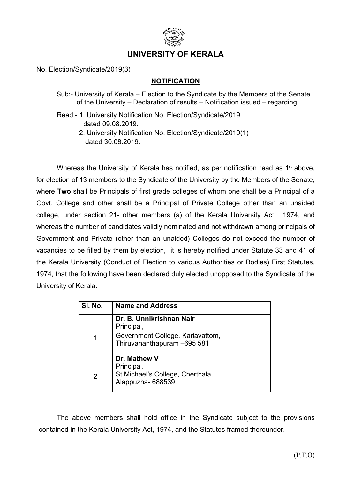

## **UNIVERSITY OF KERALA**

No. Election/Syndicate/2019(3)

## **NOTIFICATION**

- Sub:- University of Kerala Election to the Syndicate by the Members of the Senate of the University – Declaration of results – Notification issued – regarding.
- Read:- 1. University Notification No. Election/Syndicate/2019 dated 09.08.2019.
	- 2. University Notification No. Election/Syndicate/2019(1) dated 30.08.2019.

Whereas the University of Kerala has notified, as per notification read as 1<sup>st</sup> above, for election of 13 members to the Syndicate of the University by the Members of the Senate, where **Two** shall be Principals of first grade colleges of whom one shall be a Principal of a Govt. College and other shall be a Principal of Private College other than an unaided college, under section 21- other members (a) of the Kerala University Act, 1974, and whereas the number of candidates validly nominated and not withdrawn among principals of Government and Private (other than an unaided) Colleges do not exceed the number of vacancies to be filled by them by election, it is hereby notified under Statute 33 and 41 of the Kerala University (Conduct of Election to various Authorities or Bodies) First Statutes, 1974, that the following have been declared duly elected unopposed to the Syndicate of the University of Kerala.

| SI. No. | <b>Name and Address</b>                                                    |
|---------|----------------------------------------------------------------------------|
| 1       | Dr. B. Unnikrishnan Nair<br>Principal,<br>Government College, Kariavattom, |
|         | Thiruvananthapuram -695 581                                                |
| 2       | Dr. Mathew V<br>Principal,                                                 |
|         | St. Michael's College, Cherthala,<br>Alappuzha-688539.                     |

The above members shall hold office in the Syndicate subject to the provisions contained in the Kerala University Act, 1974, and the Statutes framed thereunder.